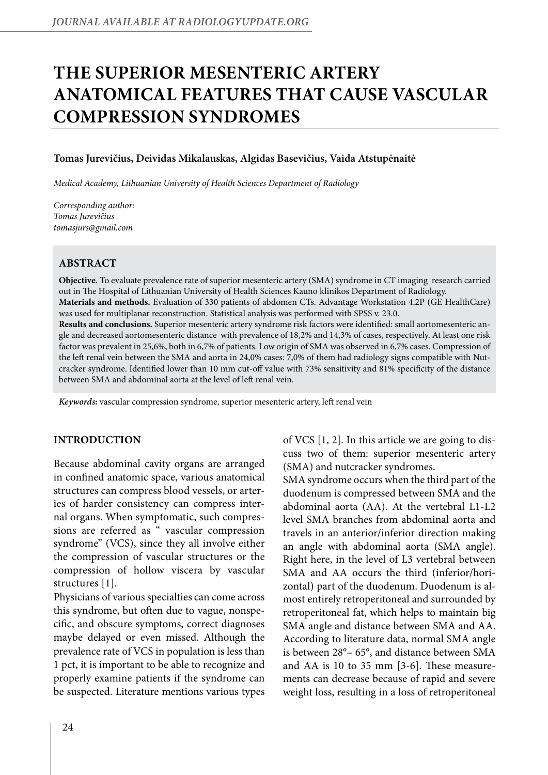# **THE SUPERIOR MESENTERIC ARTERY ANATOMICAL FEATURES THAT CAUSE VASCULAR COMPRESSION SYNDROMES**

#### **Tomas Jurevičius, Deividas Mikalauskas, Algidas Basevičius, Vaida Atstupėnaitė**

*Medical Academy, Lithuanian University of Health Sciences Department of Radiology*

*Corresponding author: Tomas Jurevičius tomasjurs@gmail.com*

## **Abstract**

**Objective.** To evaluate prevalence rate of superior mesenteric artery (SMA) syndrome in CT imaging research carried out in The Hospital of Lithuanian University of Health Sciences Kauno klinikos Department of Radiology. **Materials and methods.** Evaluation of 330 patients of abdomen CTs. Advantage Workstation 4.2P (GE HealthCare) was used for multiplanar reconstruction. Statistical analysis was performed with SPSS v. 23.0. **Results and conclusions.** Superior mesenteric artery syndrome risk factors were identified: small aortomesenteric angle and decreased aortomesenteric distance with prevalence of 18,2% and 14,3% of cases, respectively. At least one risk factor was prevalent in 25,6%, both in 6,7% of patients. Low origin of SMA was observed in 6,7% cases. Compression of the left renal vein between the SMA and aorta in 24,0% cases: 7,0% of them had radiology signs compatible with Nutcracker syndrome. Identified lower than 10 mm cut-off value with 73% sensitivity and 81% specificity of the distance between SMA and abdominal aorta at the level of left renal vein.

*Keywords***:** vascular compression syndrome, superior mesenteric artery, left renal vein

#### **INTRODUCTION**

Because abdominal cavity organs are arranged in confined anatomic space, various anatomical structures can compress blood vessels, or arteries of harder consistency can compress internal organs. When symptomatic, such compressions are referred as " vascular compression syndrome" (VCS), since they all involve either the compression of vascular structures or the compression of hollow viscera by vascular structures [1].

Physicians of various specialties can come across this syndrome, but often due to vague, nonspecific, and obscure symptoms, correct diagnoses maybe delayed or even missed. Although the prevalence rate of VCS in population is less than 1 pct, it is important to be able to recognize and properly examine patients if the syndrome can be suspected. Literature mentions various types

of VCS [1, 2]. In this article we are going to discuss two of them: superior mesenteric artery (SMA) and nutcracker syndromes.

SMA syndrome occurs when the third part of the duodenum is compressed between SMA and the abdominal aorta (AA). At the vertebral L1-L2 level SMA branches from abdominal aorta and travels in an anterior/inferior direction making an angle with abdominal aorta (SMA angle). Right here, in the level of L3 vertebral between SMA and AA occurs the third (inferior/horizontal) part of the duodenum. Duodenum is almost entirely retroperitoneal and surrounded by retroperitoneal fat, which helps to maintain big SMA angle and distance between SMA and AA. According to literature data, normal SMA angle is between 28°– 65°, and distance between SMA and AA is 10 to 35 mm [3-6]. These measurements can decrease because of rapid and severe weight loss, resulting in a loss of retroperitoneal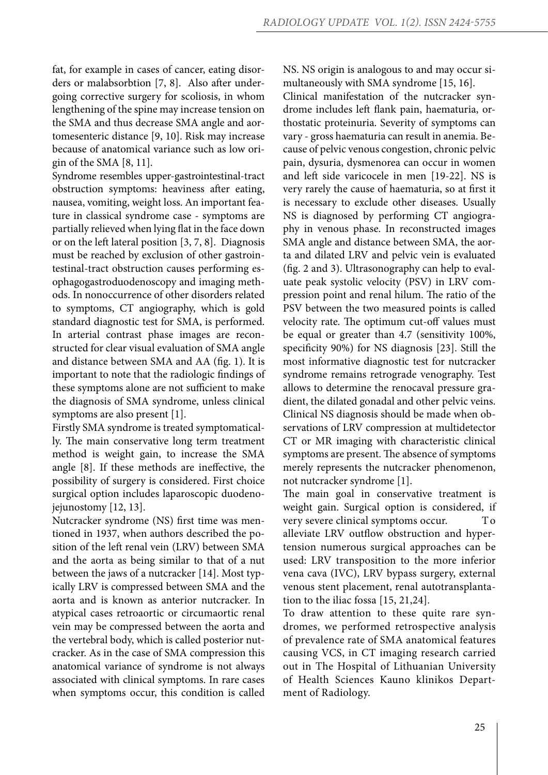fat, for example in cases of cancer, eating disorders or malabsorbtion [7, 8]. Also after undergoing corrective surgery for scoliosis, in whom lengthening of the spine may increase tension on the SMA and thus decrease SMA angle and aortomesenteric distance [9, 10]. Risk may increase because of anatomical variance such as low origin of the SMA [8, 11].

Syndrome resembles upper-gastrointestinal-tract obstruction symptoms: heaviness after eating, nausea, vomiting, weight loss. An important feature in classical syndrome case - symptoms are partially relieved when lying flat in the face down or on the left lateral position [3, 7, 8]. Diagnosis must be reached by exclusion of other gastrointestinal-tract obstruction causes performing esophagogastroduodenoscopy and imaging methods. In nonoccurrence of other disorders related to symptoms, CT angiography, which is gold standard diagnostic test for SMA, is performed. In arterial contrast phase images are reconstructed for clear visual evaluation of SMA angle and distance between SMA and AA (fig. 1). It is important to note that the radiologic findings of these symptoms alone are not sufficient to make the diagnosis of SMA syndrome, unless clinical symptoms are also present [1].

Firstly SMA syndrome is treated symptomatically. The main conservative long term treatment method is weight gain, to increase the SMA angle [8]. If these methods are ineffective, the possibility of surgery is considered. First choice surgical option includes laparoscopic duodenojejunostomy [12, 13].

Nutcracker syndrome (NS) first time was mentioned in 1937, when authors described the position of the left renal vein (LRV) between SMA and the aorta as being similar to that of a nut between the jaws of a nutcracker [14]. Most typically LRV is compressed between SMA and the aorta and is known as anterior nutcracker. In atypical cases retroaortic or circumaortic renal vein may be compressed between the aorta and the vertebral body, which is called posterior nutcracker. As in the case of SMA compression this anatomical variance of syndrome is not always associated with clinical symptoms. In rare cases when symptoms occur, this condition is called

NS. NS origin is analogous to and may occur simultaneously with SMA syndrome [15, 16].

Clinical manifestation of the nutcracker syndrome includes left flank pain, haematuria, orthostatic proteinuria. Severity of symptoms can vary - gross haematuria can result in anemia. Because of pelvic venous congestion, chronic pelvic pain, dysuria, dysmenorea can occur in women and left side varicocele in men [19-22]. NS is very rarely the cause of haematuria, so at first it is necessary to exclude other diseases. Usually NS is diagnosed by performing CT angiography in venous phase. In reconstructed images SMA angle and distance between SMA, the aorta and dilated LRV and pelvic vein is evaluated (fig. 2 and 3). Ultrasonography can help to evaluate peak systolic velocity (PSV) in LRV compression point and renal hilum. The ratio of the PSV between the two measured points is called velocity rate. The optimum cut-off values must be equal or greater than 4.7 (sensitivity 100%, specificity 90%) for NS diagnosis [23]. Still the most informative diagnostic test for nutcracker syndrome remains retrograde venography. Test allows to determine the renocaval pressure gradient, the dilated gonadal and other pelvic veins. Clinical NS diagnosis should be made when observations of LRV compression at multidetector CT or MR imaging with characteristic clinical symptoms are present. The absence of symptoms merely represents the nutcracker phenomenon, not nutcracker syndrome [1].

The main goal in conservative treatment is weight gain. Surgical option is considered, if very severe clinical symptoms occur. To alleviate LRV outflow obstruction and hypertension numerous surgical approaches can be used: LRV transposition to the more inferior vena cava (IVC), LRV bypass surgery, external venous stent placement, renal autotransplantation to the iliac fossa [15, 21,24].

To draw attention to these quite rare syndromes, we performed retrospective analysis of prevalence rate of SMA anatomical features causing VCS, in CT imaging research carried out in The Hospital of Lithuanian University of Health Sciences Kauno klinikos Department of Radiology.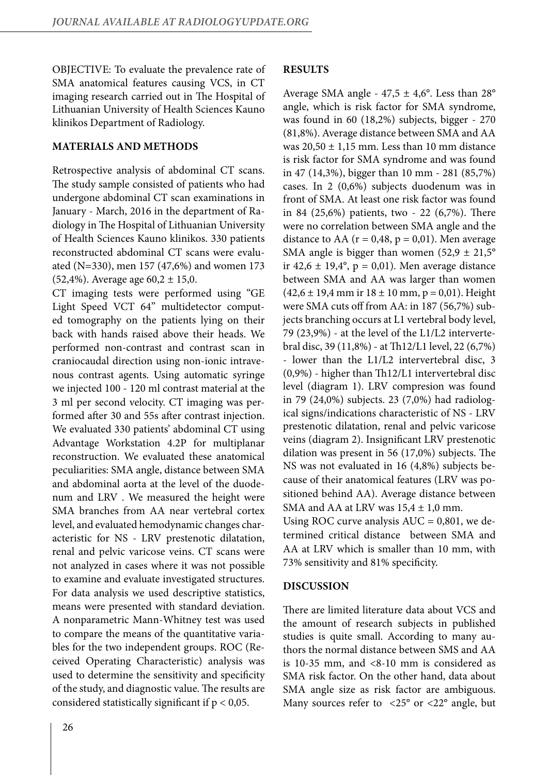OBJECTIVE: To evaluate the prevalence rate of SMA anatomical features causing VCS, in CT imaging research carried out in The Hospital of Lithuanian University of Health Sciences Kauno klinikos Department of Radiology.

### **MATERIALS AND METHODS**

Retrospective analysis of abdominal CT scans. The study sample consisted of patients who had undergone abdominal CT scan examinations in January - March, 2016 in the department of Radiology in The Hospital of Lithuanian University of Health Sciences Kauno klinikos. 330 patients reconstructed abdominal CT scans were evaluated (N=330), men 157 (47,6%) and women 173  $(52,4\%)$ . Average age  $60,2 \pm 15,0$ .

CT imaging tests were performed using "GE Light Speed VCT 64" multidetector computed tomography on the patients lying on their back with hands raised above their heads. We performed non-contrast and contrast scan in craniocaudal direction using non-ionic intravenous contrast agents. Using automatic syringe we injected 100 - 120 ml contrast material at the 3 ml per second velocity. CT imaging was performed after 30 and 55s after contrast injection. We evaluated 330 patients' abdominal CT using Advantage Workstation 4.2P for multiplanar reconstruction. We evaluated these anatomical peculiarities: SMA angle, distance between SMA and abdominal aorta at the level of the duodenum and LRV . We measured the height were SMA branches from AA near vertebral cortex level, and evaluated hemodynamic changes characteristic for NS - LRV prestenotic dilatation, renal and pelvic varicose veins. CT scans were not analyzed in cases where it was not possible to examine and evaluate investigated structures. For data analysis we used descriptive statistics, means were presented with standard deviation. A nonparametric Mann-Whitney test was used to compare the means of the quantitative variables for the two independent groups. ROC (Received Operating Characteristic) analysis was used to determine the sensitivity and specificity of the study, and diagnostic value. The results are considered statistically significant if  $p < 0.05$ .

## **RESULTS**

Average SMA angle -  $47.5 \pm 4.6^{\circ}$ . Less than 28° angle, which is risk factor for SMA syndrome, was found in 60 (18,2%) subjects, bigger - 270 (81,8%). Average distance between SMA and AA was  $20,50 \pm 1,15$  mm. Less than 10 mm distance is risk factor for SMA syndrome and was found in 47 (14,3%), bigger than 10 mm - 281 (85,7%) cases. In 2 (0,6%) subjects duodenum was in front of SMA. At least one risk factor was found in 84 (25,6%) patients, two - 22 (6,7%). There were no correlation between SMA angle and the distance to AA ( $r = 0.48$ ,  $p = 0.01$ ). Men average SMA angle is bigger than women  $(52.9 \pm 21.5^{\circ})$ ir 42,6  $\pm$  19,4°, p = 0,01). Men average distance between SMA and AA was larger than women  $(42,6 \pm 19,4 \text{ mm} \text{ ir } 18 \pm 10 \text{ mm}, p = 0,01)$ . Height were SMA cuts off from AA: in 187 (56,7%) subjects branching occurs at L1 vertebral body level, 79 (23,9%) - at the level of the L1/L2 intervertebral disc, 39 (11,8%) - at Th12/L1 level, 22 (6,7%) - lower than the L1/L2 intervertebral disc, 3 (0,9%) - higher than Th12/L1 intervertebral disc level (diagram 1). LRV compresion was found in 79 (24,0%) subjects. 23 (7,0%) had radiological signs/indications characteristic of NS - LRV prestenotic dilatation, renal and pelvic varicose veins (diagram 2). Insignificant LRV prestenotic dilation was present in 56 (17,0%) subjects. The NS was not evaluated in 16 (4,8%) subjects because of their anatomical features (LRV was positioned behind AA). Average distance between SMA and AA at LRV was  $15,4 \pm 1,0$  mm.

Using ROC curve analysis  $AUC = 0,801$ , we determined critical distance between SMA and AA at LRV which is smaller than 10 mm, with 73% sensitivity and 81% specificity.

## **DISCUSSION**

There are limited literature data about VCS and the amount of research subjects in published studies is quite small. According to many authors the normal distance between SMS and AA is 10-35 mm, and  $\langle 8-10 \rangle$  mm is considered as SMA risk factor. On the other hand, data about SMA angle size as risk factor are ambiguous. Many sources refer to  $\langle 25^{\circ}$  or  $\langle 22^{\circ}$  angle, but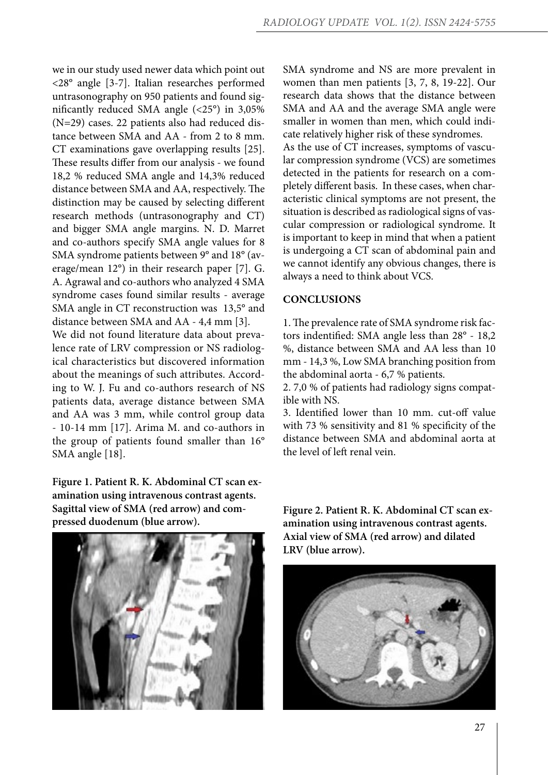we in our study used newer data which point out <28° angle [3-7]. Italian researches performed untrasonography on 950 patients and found significantly reduced SMA angle (<25°) in 3,05% (N=29) cases. 22 patients also had reduced distance between SMA and AA - from 2 to 8 mm. CT examinations gave overlapping results [25]. These results differ from our analysis - we found 18,2 % reduced SMA angle and 14,3% reduced distance between SMA and AA, respectively. The distinction may be caused by selecting different research methods (untrasonography and CT) and bigger SMA angle margins. N. D. Marret and co-authors specify SMA angle values for 8 SMA syndrome patients between 9° and 18° (average/mean 12°) in their research paper [7]. G. A. Agrawal and co-authors who analyzed 4 SMA syndrome cases found similar results - average SMA angle in CT reconstruction was 13,5° and distance between SMA and AA - 4,4 mm [3].

We did not found literature data about prevalence rate of LRV compression or NS radiological characteristics but discovered information about the meanings of such attributes. According to W. J. Fu and co-authors research of NS patients data, average distance between SMA and AA was 3 mm, while control group data - 10-14 mm [17]. Arima M. and co-authors in the group of patients found smaller than 16° SMA angle [18].

**Figure 1. Patient R. K. Abdominal CT scan examination using intravenous contrast agents. Sagittal view of SMA (red arrow) and compressed duodenum (blue arrow).**



SMA syndrome and NS are more prevalent in women than men patients [3, 7, 8, 19-22]. Our research data shows that the distance between SMA and AA and the average SMA angle were smaller in women than men, which could indicate relatively higher risk of these syndromes. As the use of CT increases, symptoms of vascular compression syndrome (VCS) are sometimes detected in the patients for research on a completely different basis. In these cases, when characteristic clinical symptoms are not present, the situation is described as radiological signs of vascular compression or radiological syndrome. It is important to keep in mind that when a patient is undergoing a CT scan of abdominal pain and we cannot identify any obvious changes, there is always a need to think about VCS.

#### **CONCLUSIONS**

1. The prevalence rate of SMA syndrome risk factors indentified: SMA angle less than 28° - 18,2 %, distance between SMA and AA less than 10 mm - 14,3 %, Low SMA branching position from the abdominal aorta - 6,7 % patients.

2. 7,0 % of patients had radiology signs compatible with NS.

3. Identified lower than 10 mm. cut-off value with 73 % sensitivity and 81 % specificity of the distance between SMA and abdominal aorta at the level of left renal vein.

**Figure 2. Patient R. K. Abdominal CT scan examination using intravenous contrast agents. Axial view of SMA (red arrow) and dilated LRV (blue arrow).**

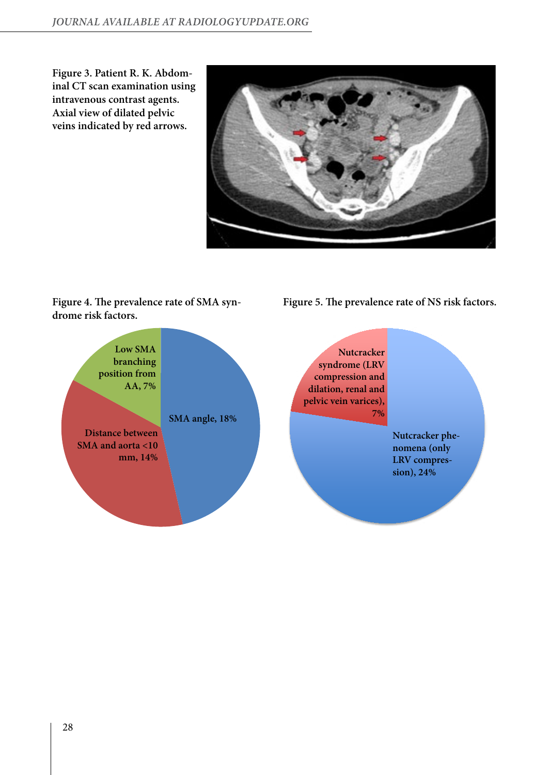**Figure 3. Patient R. K. Abdominal CT scan examination using intravenous contrast agents. Axial view of dilated pelvic veins indicated by red arrows.**



# **Figure 4. The prevalence rate of SMA syndrome risk factors.**

**Figure 5. The prevalence rate of NS risk factors.**